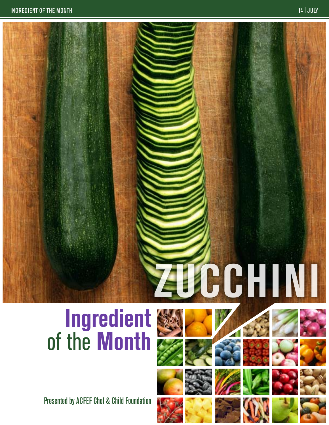# $2$ **CHINI**

# **Ingredient** of the **Month**

Presented by ACFEF Chef & Child Foundation











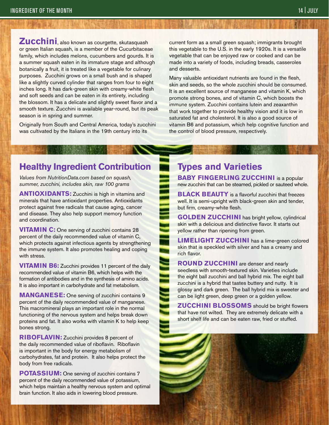**Zucchini**, also known as courgette, skutasquash or green Italian squash, is a member of the Cucurbitaceae family, which includes melons, cucumbers and gourds. It is a summer squash eaten in its immature stage and although botanically a fruit, it is treated like a vegetable for culinary purposes. Zucchini grows on a small bush and is shaped like a slightly curved cylinder that ranges from four to eight inches long. It has dark-green skin with creamy-white flesh and soft seeds and can be eaten in its entirety, including the blossom. It has a delicate and slightly sweet flavor and a smooth texture. Zucchini is available year-round, but its peak season is in spring and summer.

Originally from South and Central America, today's zucchini was cultivated by the Italians in the 19th century into its

current form as a small green squash; immigrants brought this vegetable to the U.S. in the early 1920s. It is a versatile vegetable that can be enjoyed raw or cooked and can be made into a variety of foods, including breads, casseroles and desserts.

Many valuable antioxidant nutrients are found in the flesh, skin and seeds, so the whole zucchini should be consumed. It is an excellent source of manganese and vitamin K, which promote strong bones, and of vitamin C, which boosts the immune system. Zucchini contains lutein and zeaxanthin that work together to provide healthy vision and it is low in saturated fat and cholesterol. It is also a good source of vitamin B6 and potassium, which help cognitive function and the control of blood pressure, respectively.

### **Healthy Ingredient Contribution**

*Values from NutritionData.com based on squash, summer, zucchini, includes skin, raw 100 grams*

**ANTIOXIDANTS:** Zucchini is high in vitamins and minerals that have antioxidant properties. Antioxidants protect against free radicals that cause aging, cancer and disease. They also help support memory function and coordination.

**VITAMIN C:** One serving of zucchini contains 28 percent of the daily recommended value of vitamin C, which protects against infectious agents by strengthening the immune system. It also promotes healing and coping with stress.

**VITAMIN B6:** Zucchini provides 11 percent of the daily recommended value of vitamin B6, which helps with the formation of antibodies and in the synthesis of amino acids. It is also important in carbohydrate and fat metabolism.

**MANGANESE:** One serving of zucchini contains 9 percent of the daily recommended value of manganese. This macromineral plays an important role in the normal functioning of the nervous system and helps break down proteins and fat. It also works with vitamin K to help keep bones strong.

**RIBOFLAVIN:** Zucchini provides 8 percent of the daily recommended value of riboflavin. Riboflavin is important in the body for energy metabolism of carbohydrates, fat and protein. It also helps protect the body from free radicals.

**POTASSIUM:** One serving of zucchini contains 7 percent of the daily recommended value of potassium, which helps maintain a healthy nervous system and optimal brain function. It also aids in lowering blood pressure.

## **Types and Varieties**

**BABY FINGERLING ZUCCHINI** is a popular new zucchini that can be steamed, pickled or sauteed whole.

**BLACK BEAUTY** is a flavorful zucchini that freezes well. It is semi-upright with black-green skin and tender, but firm, creamy-white flesh.

**GOLDEN ZUCCHINI** has bright yellow, cylindrical skin with a delicious and distinctive flavor. It starts out yellow rather than ripening from green.

**LIMELIGHT ZUCCHINI** has a lime-green colored skin that is speckled with silver and has a creamy and rich flavor.

**ROUND ZUCCHINI** are denser and nearly seedless with smooth-textured skin. Varieties include the eight ball zucchini and ball hybrid mix. The eight ball zucchini is a hybrid that tastes buttery and nutty. It is glossy and dark green. The ball hybrid mix is sweeter and can be light green, deep green or a golden yellow.

**Zucchini Blossoms** should be bright flowers that have not wilted. They are extremely delicate with a short shelf life and can be eaten raw, fried or stuffed.